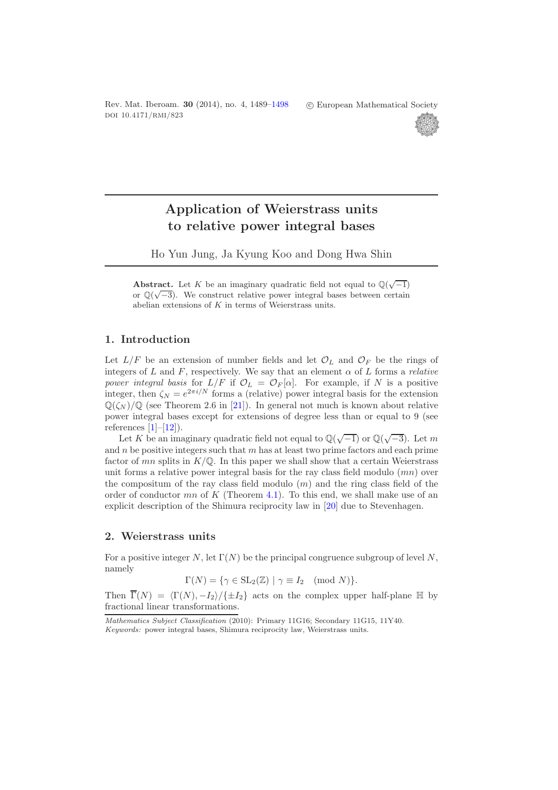Rev. Mat. Iberoam. **30** (2014), no. 4, 1489[–1498](#page-9-0) doi 10.4171/rmi/823

-c European Mathematical Society



# **Application of Weierstrass units to relative power integral bases**

Ho Yun Jung, Ja Kyung Koo and Dong Hwa Shin

Abstract. Let *K* be an imaginary quadratic field not equal to  $\mathbb{Q}(\sqrt{-1})$ or  $\mathbb{Q}(\sqrt{-3})$ . We construct relative power integral bases between certain abelian extensions of *K* in terms of Weierstrass units.

## **1. Introduction**

Let  $L/F$  be an extension of number fields and let  $\mathcal{O}_L$  and  $\mathcal{O}_F$  be the rings of integers of  $L$  and  $F$ , respectively. We say that an element  $\alpha$  of  $L$  forms a *relative power integral basis* for  $L/F$  if  $\mathcal{O}_L = \mathcal{O}_F[\alpha]$ . For example, if N is a positive integer, then  $\zeta_N = e^{2\pi i/N}$  forms a (relative) power integral basis for the extension  $\mathbb{Q}(\zeta_N)/\mathbb{Q}$  (see Theorem 2.6 in [\[21\]](#page-9-1)). In general not much is known about relative power integral bases except for extensions of degree less than or equal to 9 (see references  $[1]-[12]$  $[1]-[12]$  $[1]-[12]$ .

Tences  $\lfloor 1 \rfloor - \lfloor 12 \rfloor$ ).<br>Let K be an imaginary quadratic field not equal to  $\mathbb{Q}(\sqrt{-1})$  or  $\mathbb{Q}(\sqrt{-3})$ . Let m and  $n$  be positive integers such that  $m$  has at least two prime factors and each prime factor of  $mn$  splits in  $K/\mathbb{Q}$ . In this paper we shall show that a certain Weierstrass unit forms a relative power integral basis for the ray class field modulo  $(mn)$  over the compositum of the ray class field modulo  $(m)$  and the ring class field of the order of conductor  $mn$  of K (Theorem [4.1\)](#page-5-0). To this end, we shall make use of an explicit description of the Shimura reciprocity law in [\[20\]](#page-8-2) due to Stevenhagen.

### **2. Weierstrass units**

For a positive integer N, let  $\Gamma(N)$  be the principal congruence subgroup of level N, namely

 $\Gamma(N) = \{ \gamma \in SL_2(\mathbb{Z}) \mid \gamma \equiv I_2 \pmod{N} \}.$ 

Then  $\Gamma(N) = \langle \Gamma(N), -I_2 \rangle / \{\pm I_2\}$  acts on the complex upper half-plane  $\mathbb H$  by fractional linear transformations.

*Mathematics Subject Classification* (2010): Primary 11G16; Secondary 11G15, 11Y40.

*Keywords:* power integral bases, Shimura reciprocity law, Weierstrass units.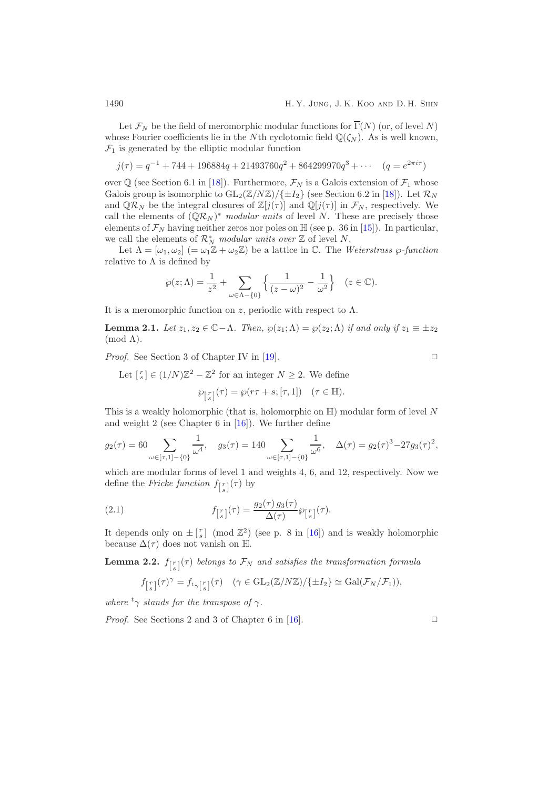Let  $\mathcal{F}_N$  be the field of meromorphic modular functions for  $\overline{\Gamma}(N)$  (or, of level N) whose Fourier coefficients lie in the Nth cyclotomic field  $\mathbb{Q}(\zeta_N)$ . As is well known,  $\mathcal{F}_1$  is generated by the elliptic modular function

$$
j(\tau) = q^{-1} + 744 + 196884q + 21493760q^{2} + 864299970q^{3} + \cdots \quad (q = e^{2\pi i \tau})
$$

over  $\mathbb{Q}$  (see Section 6.1 in [\[18\]](#page-8-3)). Furthermore,  $\mathcal{F}_N$  is a Galois extension of  $\mathcal{F}_1$  whose Galois group is isomorphic to  $GL_2(\mathbb{Z}/N\mathbb{Z})/\{\pm I_2\}$  (see Section 6.2 in [\[18\]](#page-8-3)). Let  $\mathcal{R}_N$ and  $\mathbb{Q}\mathcal{R}_N$  be the integral closures of  $\mathbb{Z}[j(\tau)]$  and  $\mathbb{Q}[j(\tau)]$  in  $\mathcal{F}_N$ , respectively. We call the elements of  $(\mathbb{Q}\mathcal{R}_N)^*$  *modular units* of level N. These are precisely those elements of  $\mathcal{F}_N$  having neither zeros nor poles on  $\mathbb{H}$  (see p. 36 in [\[15\]](#page-8-4)). In particular, we call the elements of  $\mathcal{R}_N^*$  *modular units over*  $\mathbb{Z}$  of level N.

Let  $\Lambda = [\omega_1, \omega_2]$  (=  $\omega_1 \mathbb{Z} + \omega_2 \mathbb{Z}$ ) be a lattice in C. The *Weierstrass*  $\wp$ -function relative to  $\Lambda$  is defined by

$$
\wp(z;\Lambda) = \frac{1}{z^2} + \sum_{\omega \in \Lambda - \{0\}} \left\{ \frac{1}{(z-\omega)^2} - \frac{1}{\omega^2} \right\} \quad (z \in \mathbb{C}).
$$

<span id="page-1-0"></span>It is a meromorphic function on z, periodic with respect to  $\Lambda$ .

**Lemma 2.1.** *Let*  $z_1, z_2 \in \mathbb{C} - \Lambda$ *. Then,*  $\wp(z_1; \Lambda) = \wp(z_2; \Lambda)$  *if and only if*  $z_1 \equiv \pm z_2$ (mod Λ)*.*

*Proof.* See Section 3 of Chapter IV in [\[19\]](#page-8-5). □

Let 
$$
\begin{bmatrix} r \\ s \end{bmatrix} \in (1/N)\mathbb{Z}^2 - \mathbb{Z}^2
$$
 for an integer  $N \ge 2$ . We define  

$$
\wp_{\begin{bmatrix} r \\ s \end{bmatrix}}(\tau) = \wp(r\tau + s; [\tau, 1]) \quad (\tau \in \mathbb{H}).
$$

This is a weakly holomorphic (that is, holomorphic on  $\mathbb{H}$ ) modular form of level N and weight 2 (see Chapter 6 in [\[16\]](#page-8-6)). We further define

$$
g_2(\tau) = 60 \sum_{\omega \in [\tau, 1] - \{0\}} \frac{1}{\omega^4}, \quad g_3(\tau) = 140 \sum_{\omega \in [\tau, 1] - \{0\}} \frac{1}{\omega^6}, \quad \Delta(\tau) = g_2(\tau)^3 - 27g_3(\tau)^2,
$$

which are modular forms of level 1 and weights 4, 6, and 12, respectively. Now we define the *Fricke function*  $f_{\lfloor \frac{r}{s} \rfloor}(\tau)$  by

(2.1) 
$$
f_{\lfloor s \rfloor}(\tau) = \frac{g_2(\tau) g_3(\tau)}{\Delta(\tau)} \wp_{\lfloor s \rfloor}(\tau).
$$

<span id="page-1-2"></span>It depends only on  $\pm \binom{r}{s}$  (mod  $\mathbb{Z}^2$ ) (see p. 8 in [\[16\]](#page-8-6)) and is weakly holomorphic because  $\Delta(\tau)$  does not vanish on H.

**Lemma 2.2.**  $f_{\left[s\right]}(\tau)$  belongs to  $\mathcal{F}_N$  and satisfies the transformation formula

<span id="page-1-1"></span>
$$
f_{\left[s\atop{ s\atop s} \right]}(\tau)^\gamma = f_{t_\gamma\left[s\atop{ s\atop s} \right]}(\tau) \quad (\gamma \in \text{GL}_2(\mathbb{Z}/N\mathbb{Z})/\{\pm I_2\} \simeq \text{Gal}(\mathcal{F}_N/\mathcal{F}_1)),
$$

*where*  ${}^t\gamma$  *stands for the transpose of*  $\gamma$ *.* 

*Proof.* See Sections 2 and 3 of Chapter 6 in [\[16\]](#page-8-6).  $\Box$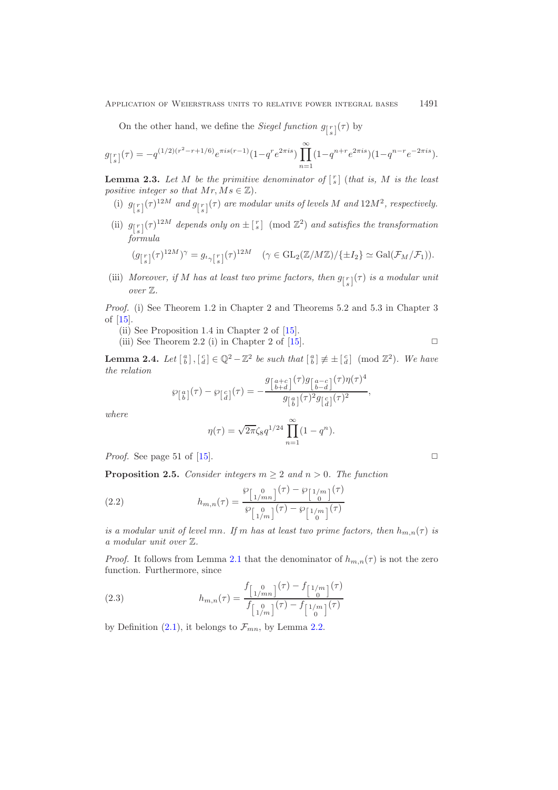On the other hand, we define the *Siegel function*  $g_{\lfloor \frac{r}{s} \rfloor}(\tau)$  by

$$
g_{\lfloor \frac{r}{s} \rfloor}(\tau) = -q^{(1/2)(r^2 - r + 1/6)} e^{\pi i s (r - 1)} (1 - q^r e^{2\pi i s}) \prod_{n=1}^{\infty} (1 - q^{n+r} e^{2\pi i s}) (1 - q^{n-r} e^{-2\pi i s}).
$$

<span id="page-2-1"></span>**Lemma 2.3.** Let M be the primitive denominator of  $\begin{bmatrix} r \ s \end{bmatrix}$  (that is, M is the least *positive integer so that*  $Mr, Ms \in \mathbb{Z}$ *).* 

- (i)  $g_{\lfloor \frac{r}{s} \rfloor}(\tau)^{12M}$  and  $g_{\lfloor \frac{r}{s} \rfloor}(\tau)$  are modular units of levels M and  $12M^2$ , respectively.
- (ii)  $g_{\lfloor s \rfloor}(\tau)^{12M}$  depends only on  $\pm \lfloor s \rfloor$  (mod  $\mathbb{Z}^2$ ) and satisfies the transformation *formula*

$$
(g_{\lfloor \frac{r}{s} \rfloor}(\tau)^{12M})^{\gamma} = g_{t_{\gamma} \lfloor \frac{r}{s} \rfloor}(\tau)^{12M} \quad (\gamma \in \mathrm{GL}_2(\mathbb{Z}/M\mathbb{Z})/\{\pm I_2\} \simeq \mathrm{Gal}(\mathcal{F}_M/\mathcal{F}_1)).
$$

(iii) Moreover, if M has at least two prime factors, then  $g_{\lceil s \rceil}(\tau)$  is a modular unit *over* Z*.*

*Proof.* (i) See Theorem 1.2 in Chapter 2 and Theorems 5.2 and 5.3 in Chapter 3 of [\[15\]](#page-8-4).

- (ii) See Proposition 1.4 in Chapter 2 of [\[15\]](#page-8-4).
- (iii) See Theorem 2.2 (i) in Chapter 2 of  $[15]$ .

<span id="page-2-0"></span>**Lemma 2.4.** *Let*  $\begin{bmatrix} a \\ b \end{bmatrix}$ ,  $\begin{bmatrix} c \\ d \end{bmatrix} \in \mathbb{Q}^2 - \mathbb{Z}^2$  *be such that*  $\begin{bmatrix} a \\ b \end{bmatrix} \not\equiv \pm \begin{bmatrix} c \\ d \end{bmatrix}$  (mod  $\mathbb{Z}^2$ ). We have *the relation*

$$
\wp_{\left[\begin{matrix}a\\b\end{matrix}\right]}(\tau) - \wp_{\left[\begin{matrix}c\\d\end{matrix}\right]}(\tau) = -\frac{g_{\left[\begin{matrix}a+c\\b+d\end{matrix}\right]}(\tau)g_{\left[\begin{matrix}a-c\\b-d\end{matrix}\right]}(\tau)\eta(\tau)^4}{g_{\left[\begin{matrix}a\\b\end{matrix}\right]}(\tau)^2g_{\left[\begin{matrix}c\\d\end{matrix}\right]}(\tau)^2},
$$

*where*

$$
\eta(\tau) = \sqrt{2\pi} \zeta_8 q^{1/24} \prod_{n=1}^{\infty} (1 - q^n).
$$

*Proof.* See page 51 of [\[15\]](#page-8-4).  $\Box$ 

<span id="page-2-3"></span>**Proposition 2.5.** *Consider integers*  $m \geq 2$  *and*  $n > 0$ *. The function* 

(2.2) 
$$
h_{m,n}(\tau) = \frac{\wp_{\left[\begin{array}{c}0\\1/m\end{array}\right]}(\tau) - \wp_{\left[\begin{array}{c}1/m\\0\end{array}\right]}(\tau)}{\wp_{\left[\begin{array}{c}0\\1/m\end{array}\right]}(\tau) - \wp_{\left[\begin{array}{c}1/m\\0\end{array}\right]}(\tau)}(\tau)
$$

*is a modular unit of level mn. If* m has at least two prime factors, then  $h_{m,n}(\tau)$  is *a modular unit over* Z*.*

*Proof.* It follows from Lemma [2.1](#page-1-0) that the denominator of  $h_{m,n}(\tau)$  is not the zero function. Furthermore, since

<span id="page-2-2"></span>(2.3) 
$$
h_{m,n}(\tau) = \frac{f_{\left[\begin{array}{c}0\\1/m\end{array}\right]}(\tau) - f_{\left[\begin{array}{c}1/m\\0\end{array}\right]}(\tau)}{f_{\left[\begin{array}{c}0\\1/m\end{array}\right]}(\tau) - f_{\left[\begin{array}{c}1/m\\0\end{array}\right]}(\tau)}(r)
$$

by Definition  $(2.1)$ , it belongs to  $\mathcal{F}_{mn}$ , by Lemma [2.2.](#page-1-2)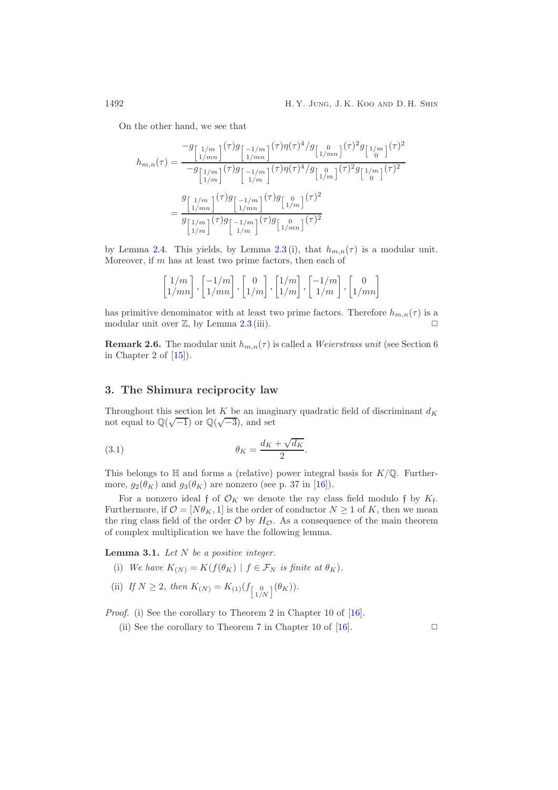On the other hand, we see that

$$
h_{m,n}(\tau) = \frac{-g_{\begin{bmatrix}1/m\\1/mn\end{bmatrix}}(\tau)g_{\begin{bmatrix}-1/m\\1/mn\end{bmatrix}}(\tau)\eta(\tau)^{4}/g_{\begin{bmatrix}0\\1/mn\end{bmatrix}}(\tau)^{2}g_{\begin{bmatrix}1/m\\0\end{bmatrix}}(\tau)^{2}
$$

$$
= \frac{g_{\begin{bmatrix}1/m\\1/mn\end{bmatrix}}(\tau)g_{\begin{bmatrix}-1/m\\1/m\end{bmatrix}}(\tau)\eta(\tau)^{4}/g_{\begin{bmatrix}0\\1/m\end{bmatrix}}(\tau)^{2}g_{\begin{bmatrix}1/m\\0\end{bmatrix}}(\tau)^{2}
$$

$$
= \frac{g_{\begin{bmatrix}1/m\\1/mn\end{bmatrix}}(\tau)g_{\begin{bmatrix}-1/m\\1/mn\end{bmatrix}}(\tau)g_{\begin{bmatrix}0\\1/m\end{bmatrix}}(\tau)^{2}
$$

$$
g_{\begin{bmatrix}1/m\\1/m\end{bmatrix}}(\tau)g_{\begin{bmatrix}-1/m\\1/m\end{bmatrix}}(\tau)g_{\begin{bmatrix}0\\1/m\end{bmatrix}}(\tau)^{2}
$$

by Lemma [2.4.](#page-2-0) This yields, by Lemma [2.3](#page-2-1)(i), that  $h_{m,n}(\tau)$  is a modular unit. Moreover, if  $m$  has at least two prime factors, then each of

$$
\begin{bmatrix} 1/m \\ 1/mn \end{bmatrix}, \begin{bmatrix} -1/m \\ 1/mn \end{bmatrix}, \begin{bmatrix} 0 \\ 1/m \end{bmatrix}, \begin{bmatrix} 1/m \\ 1/m \end{bmatrix}, \begin{bmatrix} -1/m \\ 1/m \end{bmatrix}, \begin{bmatrix} 0 \\ 1/mn \end{bmatrix}
$$

has primitive denominator with at least two prime factors. Therefore  $h_{m,n}(\tau)$  is a modular unit over  $\mathbb{Z}$ , by Lemma [2.3](#page-2-1) (iii).  $\Box$ 

**Remark 2.6.** The modular unit  $h_{m,n}(\tau)$  is called a *Weierstrass unit* (see Section 6) in Chapter 2 of  $[15]$ .

### **3. The Shimura reciprocity law**

Throughout this section let K be an imaginary quadratic field of discriminant  $d_K$ not equal to  $\mathbb{Q}(\sqrt{-1})$  or  $\mathbb{Q}(\sqrt{-3})$ , and set

(3.1) 
$$
\theta_K = \frac{d_K + \sqrt{d_K}}{2}.
$$

This belongs to  $\mathbb H$  and forms a (relative) power integral basis for  $K/\mathbb Q$ . Furthermore,  $g_2(\theta_K)$  and  $g_3(\theta_K)$  are nonzero (see p. 37 in [\[16\]](#page-8-6)).

For a nonzero ideal f of  $\mathcal{O}_K$  we denote the ray class field modulo f by  $K_f$ . Furthermore, if  $\mathcal{O} = [N\theta_K, 1]$  is the order of conductor  $N \geq 1$  of K, then we mean the ring class field of the order  $\mathcal O$  by  $H_{\mathcal O}$ . As a consequence of the main theorem of complex multiplication we have the following lemma.

<span id="page-3-0"></span>**Lemma 3.1.** *Let* N *be a positive integer.*

(i) We have  $K_{(N)} = K(f(\theta_K) \mid f \in \mathcal{F}_N$  is finite at  $\theta_K$ ).

(ii) If 
$$
N \ge 2
$$
, then  $K_{(N)} = K_{(1)}(f_{\begin{bmatrix} 0 \\ 1/N \end{bmatrix}}(\theta_K))$ .

*Proof.* (i) See the corollary to Theorem 2 in Chapter 10 of [\[16\]](#page-8-6).

<span id="page-3-1"></span>(ii) See the corollary to Theorem 7 in Chapter 10 of [\[16\]](#page-8-6).  $\Box$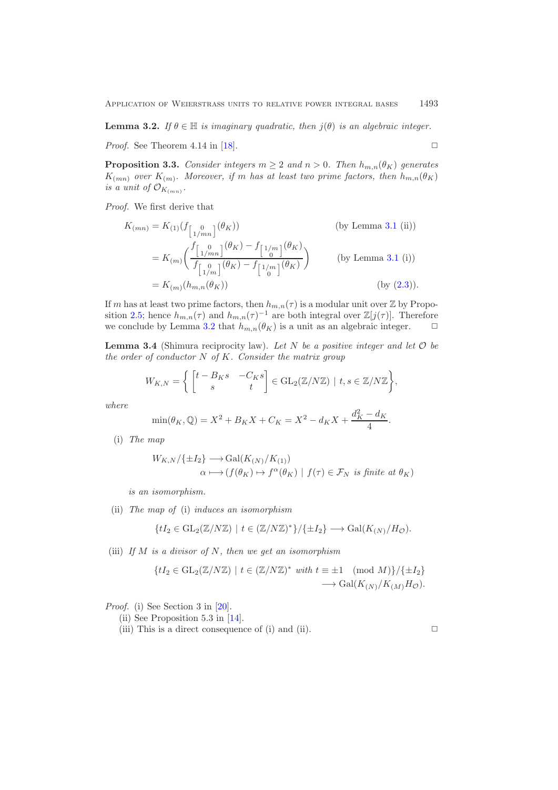**Lemma 3.2.** *If*  $\theta \in \mathbb{H}$  *is imaginary quadratic, then*  $j(\theta)$  *is an algebraic integer.* 

<span id="page-4-1"></span>*Proof.* See Theorem 4.14 in [\[18\]](#page-8-3).  $\square$ 

**Proposition 3.3.** *Consider integers*  $m \geq 2$  *and*  $n > 0$ *. Then*  $h_{m,n}(\theta_K)$  *generates*  $K_{(mn)}$  *over*  $K_{(m)}$ *. Moreover, if* m *has at least two prime factors, then*  $h_{m,n}(\theta_K)$ *is a unit of*  $\mathcal{O}_{K_{(mn)}}$ *.* 

*Proof.* We first derive that

$$
K_{(mn)} = K_{(1)}(f_{\begin{bmatrix} 0\\1/mn \end{bmatrix}}(\theta_K))
$$
 (by Lemma 3.1 (ii))  
\n
$$
= K_{(m)} \bigg( \frac{f_{\begin{bmatrix} 0\\1/mn \end{bmatrix}}(\theta_K) - f_{\begin{bmatrix} 1/m\\0 \end{bmatrix}}(\theta_K)}{f_{\begin{bmatrix} 0\\1/m \end{bmatrix}}(\theta_K) - f_{\begin{bmatrix} 1/m\\0 \end{bmatrix}}(\theta_K)}
$$
 (by Lemma 3.1 (i))  
\n
$$
= K_{(m)}(h_{m,n}(\theta_K))
$$
 (by (2.3)).

If m has at least two prime factors, then  $h_{m,n}(\tau)$  is a modular unit over Z by Propo-sition [2.5;](#page-2-3) hence  $h_{m,n}(\tau)$  and  $h_{m,n}(\tau)^{-1}$  are both integral over  $\mathbb{Z}[j(\tau)]$ . Therefore we conclude by Lemma [3.2](#page-3-1) that  $h_{m,n}(\theta_K)$  is a unit as an algebraic integer.  $\Box$ 

<span id="page-4-0"></span>**Lemma 3.4** (Shimura reciprocity law). *Let* N *be a positive integer and let* O *be the order of conductor* N *of* K*. Consider the matrix group*

$$
W_{K,N} = \left\{ \begin{bmatrix} t - B_K s & -C_K s \\ s & t \end{bmatrix} \in \text{GL}_2(\mathbb{Z}/N\mathbb{Z}) \mid t, s \in \mathbb{Z}/N\mathbb{Z} \right\},\
$$

*where*

$$
\min(\theta_K, \mathbb{Q}) = X^2 + B_K X + C_K = X^2 - d_K X + \frac{d_K^2 - d_K}{4}.
$$

(i) *The map*

$$
W_{K,N}/\{\pm I_2\} \longrightarrow \text{Gal}(K_{(N)}/K_{(1)})
$$
  

$$
\alpha \longmapsto (f(\theta_K) \mapsto f^{\alpha}(\theta_K) \mid f(\tau) \in \mathcal{F}_N \text{ is finite at } \theta_K)
$$

*is an isomorphism.*

(ii) *The map of* (i) *induces an isomorphism*

$$
\{tI_2 \in \mathrm{GL}_2(\mathbb{Z}/N\mathbb{Z}) \mid t \in (\mathbb{Z}/N\mathbb{Z})^*\} / \{\pm I_2\} \longrightarrow \mathrm{Gal}(K_{(N)}/H_{\mathcal{O}}).
$$

(iii) *If* M *is a divisor of* N*, then we get an isomorphism*

$$
\{tI_2 \in \text{GL}_2(\mathbb{Z}/N\mathbb{Z}) \mid t \in (\mathbb{Z}/N\mathbb{Z})^* \text{ with } t \equiv \pm 1 \pmod{M} \}/\{\pm I_2\}
$$

$$
\longrightarrow \text{Gal}(K_{(N)}/K_{(M)}H_{\mathcal{O}}).
$$

*Proof.* (i) See Section 3 in [\[20\]](#page-8-2).

- (ii) See Proposition 5.3 in [\[14\]](#page-8-7).
- (iii) This is a direct consequence of (i) and (ii).  $\Box$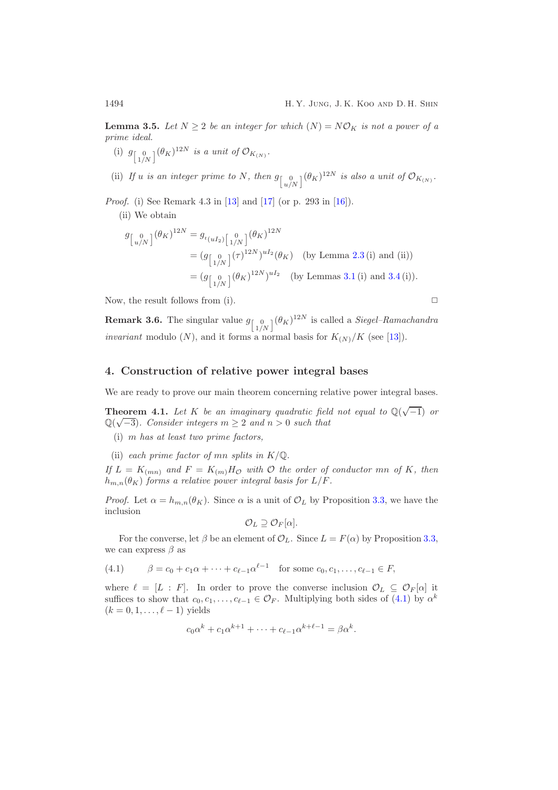<span id="page-5-2"></span>**Lemma 3.5.** Let  $N \geq 2$  be an integer for which  $(N) = N\mathcal{O}_K$  is not a power of a *prime ideal.*

(i)  $g_{\begin{bmatrix} 0 \\ 1/N \end{bmatrix}} (\theta_K)^{12N}$  *is a unit of*  $\mathcal{O}_{K_{(N)}}$ *.* 

(ii) If *u* is an integer prime to N, then  $g_{\begin{bmatrix} 0 \\ u/N \end{bmatrix}}(\theta_K)^{12N}$  is also a unit of  $\mathcal{O}_{K_{(N)}}$ .

*Proof.* (i) See Remark 4.3 in [\[13\]](#page-8-8) and [\[17\]](#page-8-9) (or p. 293 in [\[16\]](#page-8-6)).

(ii) We obtain

$$
g_{\begin{bmatrix} 0\\u/N \end{bmatrix}}(\theta_K)^{12N} = g_{t_{(uI_2)}\begin{bmatrix} 0\\1/N \end{bmatrix}}(\theta_K)^{12N}
$$
  
=  $(g_{\begin{bmatrix} 0\\1/N \end{bmatrix}}(\tau)^{12N})^{uI_2}(\theta_K)$  (by Lemma 2.3 (i) and (ii))  
=  $(g_{\begin{bmatrix} 0\\1/N \end{bmatrix}}(\theta_K)^{12N})^{uI_2}$  (by Lemmas 3.1 (i) and 3.4 (i)).

Now, the result follows from (i).  $\Box$ 

**Remark 3.6.** The singular value  $g_{\begin{bmatrix} 0 \\ 1/N \end{bmatrix}}(\theta_K)^{12N}$  is called a *Siegel–Ramachandra invariant* modulo  $(N)$ , and it forms a normal basis for  $K_{(N)}/K$  (see [\[13\]](#page-8-8)).

### **4. Construction of relative power integral bases**

<span id="page-5-0"></span>We are ready to prove our main theorem concerning relative power integral bases.

**Theorem 4.1.** *Let* K *be an imaginary quadratic field not equal to*  $\mathbb{Q}(\sqrt{-1})$  *or* **Theorem 4.1.** Let  $K$  be an imaginary quadratic jield  $\mathbb{Q}(\sqrt{-3})$ . Consider integers  $m \geq 2$  and  $n > 0$  such that

(i) m *has at least two prime factors,*

(ii) *each prime factor of mn splits in*  $K/\mathbb{Q}$ *.* 

*If*  $L = K_{(mn)}$  and  $F = K_{(m)}H_{\mathcal{O}}$  with  $\mathcal{O}$  the order of conductor mn of K, then  $h_{m,n}(\theta_K)$  *forms a relative power integral basis for*  $L/F$ *.* 

*Proof.* Let  $\alpha = h_{m,n}(\theta_K)$ . Since  $\alpha$  is a unit of  $\mathcal{O}_L$  by Proposition [3.3,](#page-4-1) we have the inclusion

$$
\mathcal{O}_L \supseteq \mathcal{O}_F[\alpha].
$$

For the converse, let  $\beta$  be an element of  $\mathcal{O}_L$ . Since  $L = F(\alpha)$  by Proposition [3.3,](#page-4-1) we can express  $\beta$  as

<span id="page-5-1"></span>(4.1) 
$$
\beta = c_0 + c_1 \alpha + \dots + c_{\ell-1} \alpha^{\ell-1} \text{ for some } c_0, c_1, \dots, c_{\ell-1} \in F,
$$

where  $\ell = [L : F]$ . In order to prove the converse inclusion  $\mathcal{O}_L \subseteq \mathcal{O}_F[\alpha]$  it suffices to show that  $c_0, c_1, \ldots, c_{\ell-1} \in \mathcal{O}_F$ . Multiplying both sides of [\(4.1\)](#page-5-1) by  $\alpha^k$  $(k = 0, 1, \ldots, \ell - 1)$  yields

$$
c_0\alpha^k + c_1\alpha^{k+1} + \cdots + c_{\ell-1}\alpha^{k+\ell-1} = \beta\alpha^k.
$$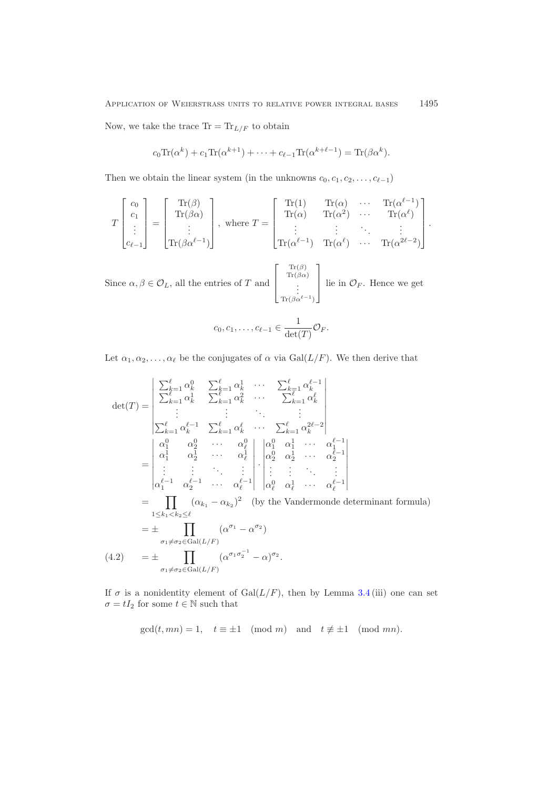Now, we take the trace  $\text{Tr} = \text{Tr}_{L/F}$  to obtain

$$
c_0 \text{Tr}(\alpha^k) + c_1 \text{Tr}(\alpha^{k+1}) + \dots + c_{\ell-1} \text{Tr}(\alpha^{k+\ell-1}) = \text{Tr}(\beta \alpha^k).
$$

Then we obtain the linear system (in the unknowns  $c_0, c_1, c_2, \ldots, c_{\ell-1}$ )

$$
T\begin{bmatrix}c_0\\c_1\\ \vdots\\c_{\ell-1}\end{bmatrix} = \begin{bmatrix}Tr(\beta)\\Tr(\beta\alpha)\\ \vdots\\Tr(\beta\alpha^{\ell-1})\end{bmatrix}, \text{ where } T = \begin{bmatrix}Tr(1) & Tr(\alpha) & \cdots & Tr(\alpha^{\ell-1})\\Tr(\alpha) & Tr(\alpha^2) & \cdots & Tr(\alpha^{\ell})\\ \vdots & \vdots & \ddots & \vdots\\Tr(\alpha^{\ell-1}) & Tr(\alpha^{\ell}) & \cdots & Tr(\alpha^{2\ell-2})\end{bmatrix}.
$$

Since  $\alpha, \beta \in \mathcal{O}_L$ , all the entries of T and  $\begin{bmatrix} \phantom{-} \end{bmatrix}$  $\vert$  $\text{Tr}(\beta)$  $\text{Tr}(\beta \alpha)$  $\vdots$ <br>Tr( $\beta \alpha^{\ell-1}$ ) ⎤  $\vert$ lie in  $\mathcal{O}_F$ . Hence we get

$$
c_0, c_1, \ldots, c_{\ell-1} \in \frac{1}{\det(T)} \mathcal{O}_F.
$$

Let  $\alpha_1, \alpha_2, \ldots, \alpha_\ell$  be the conjugates of  $\alpha$  via Gal( $L/F$ ). We then derive that

$$
\det(T) = \begin{vmatrix}\n\sum_{k=1}^{\ell} \alpha_k^0 & \sum_{k=1}^{\ell} \alpha_k^1 & \cdots & \sum_{k=1}^{\ell} \alpha_k^{\ell-1} \\
\sum_{k=1}^{\ell} \alpha_k^1 & \sum_{k=1}^{\ell} \alpha_k^2 & \cdots & \sum_{k=1}^{\ell} \alpha_k^{\ell} \\
\vdots & \vdots & \ddots & \vdots \\
\sum_{k=1}^{\ell} \alpha_k^{\ell-1} & \sum_{k=1}^{\ell} \alpha_k^{\ell} & \cdots & \sum_{k=1}^{\ell} \alpha_k^{2\ell-2} \\
\alpha_1^1 & \alpha_2^1 & \cdots & \alpha_1^0 \\
\vdots & \vdots & \ddots & \vdots \\
\alpha_1^{\ell-1} & \alpha_2^{\ell-1} & \cdots & \alpha_{\ell}^{\ell-1}\n\end{vmatrix} \cdot \begin{vmatrix}\n\alpha_1^0 & \alpha_1^1 & \cdots & \alpha_1^{\ell-1} \\
\alpha_2^0 & \alpha_2^1 & \cdots & \alpha_2^{\ell-1} \\
\vdots & \vdots & \ddots & \vdots \\
\alpha_{\ell}^0 & \alpha_2^1 & \cdots & \alpha_{\ell}^{\ell-1}\n\end{vmatrix}
$$
\n
$$
= \prod_{1 \le k_1 < k_2 \le \ell} (\alpha_{k_1} - \alpha_{k_2})^2 \quad \text{(by the Vandermonde determinant formula)}
$$
\n
$$
= \pm \prod_{\sigma_1 \ne \sigma_2 \in \text{Gal}(L/F)} (\alpha^{\sigma_1} - \alpha^{\sigma_2})
$$
\n
$$
= \pm \prod_{\sigma_1 \ne \sigma_2 \in \text{Gal}(L/F)} (\alpha^{\sigma_1 \sigma_2^{-1}} - \alpha)^{\sigma_2}.
$$

<span id="page-6-0"></span>If  $\sigma$  is a nonidentity element of Gal( $L/F$ ), then by Lemma [3.4](#page-4-0) (iii) one can set  $\sigma = tI_2$  for some  $t \in \mathbb{N}$  such that

 $gcd(t, mn) = 1, \quad t \equiv \pm 1 \pmod{m}$  and  $t \not\equiv \pm 1 \pmod{mn}$ .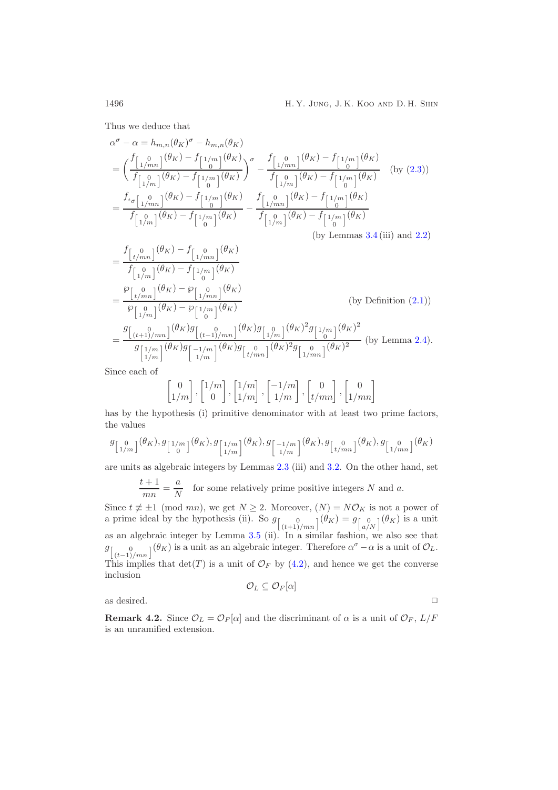Thus we deduce that

$$
\alpha^{\sigma} - \alpha = h_{m,n}(\theta_K)^{\sigma} - h_{m,n}(\theta_K)
$$
\n
$$
= \left( \frac{f_{\left[1/m\right]}(\theta_K) - f_{\left[1/m\right]}(\theta_K)}{f_{\left[1/m\right]}(\theta_K) - f_{\left[1/m\right]}(\theta_K)} \right)^{\sigma} - \frac{f_{\left[1/m\right]}(\theta_K) - f_{\left[1/m\right]}(\theta_K)}{f_{\left[1/m\right]}(\theta_K) - f_{\left[1/m\right]}(\theta_K)} \quad \text{(by (2.3))}
$$
\n
$$
= \frac{f_{i_{\sigma}\left[1/m\right]}(\theta_K) - f_{\left[1/m\right]}(\theta_K)}{f_{\left[1/m\right]}(\theta_K) - f_{\left[1/m\right]}(\theta_K) - f_{\left[1/m\right]}(\theta_K)} - \frac{f_{\left[1/m\right]}(\theta_K) - f_{\left[1/m\right]}(\theta_K)}{f_{\left[1/m\right]}(\theta_K) - f_{\left[1/m\right]}(\theta_K)} \quad \text{(by Lemmas 3.4 (iii) and 2.2)}
$$

$$
= \frac{f_{\begin{bmatrix}0\\t/mn\end{bmatrix}}(\theta_{K}) - f_{\begin{bmatrix}0\\1/mn\end{bmatrix}}(\theta_{K})}{f_{\begin{bmatrix}0\\1/m\end{bmatrix}}(\theta_{K}) - f_{\begin{bmatrix}1/m\\0\end{bmatrix}}(\theta_{K})}
$$
\n
$$
= \frac{\wp_{\begin{bmatrix}0\\t/mn\end{bmatrix}}(\theta_{K}) - \wp_{\begin{bmatrix}0\\1/m\end{bmatrix}}(\theta_{K})}{\wp_{\begin{bmatrix}0\\1/m\end{bmatrix}}(\theta_{K}) - \wp_{\begin{bmatrix}1/m\\0\end{bmatrix}}(\theta_{K})}
$$
\n(by Definition (2.1))\n
$$
= \frac{g_{\begin{bmatrix}0\\(t+1)/mn\end{bmatrix}}(\theta_{K})g_{\begin{bmatrix}0\\(t-1)/mn\end{bmatrix}}(\theta_{K})g_{\begin{bmatrix}0\\1/m\end{bmatrix}}(\theta_{K})^{2}g_{\begin{bmatrix}1/m\\0\end{bmatrix}}(\theta_{K})^{2}}{g_{\begin{bmatrix}1/m\\1/m\end{bmatrix}}(\theta_{K})g_{\begin{bmatrix}-1/m\\1/m\end{bmatrix}}(\theta_{K})g_{\begin{bmatrix}0\\(t/mn\end{bmatrix}}(\theta_{K})^{2}g_{\begin{bmatrix}0\\1/mn\end{bmatrix}}(\theta_{K})^{2}} \text{ (by Lemma 2.4).}
$$

Since each of

$$
\begin{bmatrix} 0 \\ 1/m \end{bmatrix}, \begin{bmatrix} 1/m \\ 0 \end{bmatrix}, \begin{bmatrix} 1/m \\ 1/m \end{bmatrix}, \begin{bmatrix} -1/m \\ 1/m \end{bmatrix}, \begin{bmatrix} 0 \\ t/mn \end{bmatrix}, \begin{bmatrix} 0 \\ 1/mn \end{bmatrix}
$$

has by the hypothesis (i) primitive denominator with at least two prime factors, the values

$$
g_{\left[\begin{smallmatrix}0\\1/m\end{smallmatrix}\right]}(\theta_K),g_{\left[\begin{smallmatrix}1/m\\0\end{smallmatrix}\right]}(\theta_K),g_{\left[\begin{smallmatrix}1/m\\1/m\end{smallmatrix}\right]}(\theta_K),g_{\left[\begin{smallmatrix}-1/m\\1/m\end{smallmatrix}\right]}(\theta_K),g_{\left[\begin{smallmatrix}0\\t/mn\end{smallmatrix}\right]}(\theta_K),g_{\left[\begin{smallmatrix}0\\1/mn\end{smallmatrix}\right]}(\theta_K)
$$

are units as algebraic integers by Lemmas [2.3](#page-2-1) (iii) and [3.2.](#page-3-1) On the other hand, set

 $\frac{t+1}{mn} = \frac{a}{N}$  for some relatively prime positive integers N and a.

Since  $t \neq \pm 1 \pmod{mn}$ , we get  $N \geq 2$ . Moreover,  $(N) = N\mathcal{O}_K$  is not a power of a prime ideal by the hypothesis (ii). So  $g_{\begin{bmatrix} 0 \ (t+1)/mn \end{bmatrix}}(\theta_K) = g_{\begin{bmatrix} 0 \ a/N \end{bmatrix}}(\theta_K)$  is a unit as an algebraic integer by Lemma [3.5](#page-5-2) (ii). In a similar fashion, we also see that  $g_{\left[\binom{0}{(t-1)/mn}\right]}(\theta_K)$  is a unit as an algebraic integer. Therefore  $\alpha^{\sigma} - \alpha$  is a unit of  $\mathcal{O}_L$ . This implies that  $\det(T)$  is a unit of  $\mathcal{O}_F$  by [\(4.2\)](#page-6-0), and hence we get the converse inclusion

 $\mathcal{O}_L \subseteq \mathcal{O}_F[\alpha]$ 

as desired.  $\Box$ 

**Remark 4.2.** Since  $\mathcal{O}_L = \mathcal{O}_F[\alpha]$  and the discriminant of  $\alpha$  is a unit of  $\mathcal{O}_F$ ,  $L/F$ is an unramified extension.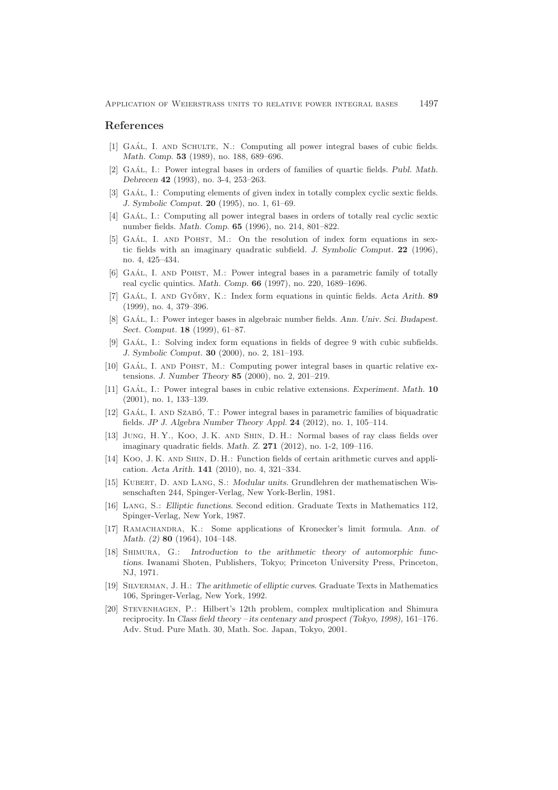#### <span id="page-8-0"></span>**References**

- [1] GAÁL, I. AND SCHULTE, N.: Computing all power integral bases of cubic fields. *Math. Comp.* **53** (1989), no. 188, 689–696.
- [2] GAÁL, I.: Power integral bases in orders of families of quartic fields. *Publ. Math. Debrecen* **42** (1993), no. 3-4, 253–263.
- [3] GAÁL, I.: Computing elements of given index in totally complex cyclic sextic fields. *J. Symbolic Comput.* **20** (1995), no. 1, 61–69.
- [4] GAAL, I.: Computing all power integral bases in orders of totally real cyclic sextic number fields. *Math. Comp.* **65** (1996), no. 214, 801–822.
- [5] GAAL, I. AND POHST, M.: On the resolution of index form equations in sextic fields with an imaginary quadratic subfield. *J. Symbolic Comput.* **22** (1996), no. 4, 425–434.
- [6] GAÁL, I. AND POHST, M.: Power integral bases in a parametric family of totally real cyclic quintics. *Math. Comp.* **66** (1997), no. 220, 1689–1696.
- [7] GAÁL, I. AND GYŐRY, K.: Index form equations in quintic fields. *Acta Arith.* **89** (1999), no. 4, 379–396.
- [8] GAÁL, I.: Power integer bases in algebraic number fields. *Ann. Univ. Sci. Budapest. Sect. Comput.* **18** (1999), 61–87.
- [9] GAÁL, I.: Solving index form equations in fields of degree 9 with cubic subfields. *J. Symbolic Comput.* **30** (2000), no. 2, 181–193.
- [10] GAAL, I. AND POHST, M.: Computing power integral bases in quartic relative extensions. *J. Number Theory* **85** (2000), no. 2, 201–219.
- [11] Gaál, I.: Power integral bases in cubic relative extensions. *Experiment. Math.* **10** (2001), no. 1, 133–139.
- <span id="page-8-1"></span>[12] GAÁL, I. AND SZABÓ, T.: Power integral bases in parametric families of biquadratic fields. *JP J. Algebra Number Theory Appl.* **24** (2012), no. 1, 105–114.
- <span id="page-8-8"></span>[13] Jung, H. Y., Koo, J. K. and Shin, D. H.: Normal bases of ray class fields over imaginary quadratic fields. *Math. Z.* **271** (2012), no. 1-2, 109–116.
- <span id="page-8-7"></span>[14] Koo, J. K. and Shin, D. H.: Function fields of certain arithmetic curves and application. *Acta Arith.* **141** (2010), no. 4, 321–334.
- <span id="page-8-4"></span>[15] Kubert, D. and Lang, S.: *Modular units.* Grundlehren der mathematischen Wissenschaften 244, Spinger-Verlag, New York-Berlin, 1981.
- <span id="page-8-6"></span>[16] Lang, S.: *Elliptic functions.* Second edition. Graduate Texts in Mathematics 112, Spinger-Verlag, New York, 1987.
- <span id="page-8-9"></span>[17] Ramachandra, K.: Some applications of Kronecker's limit formula. *Ann. of Math. (2)* **80** (1964), 104–148.
- <span id="page-8-3"></span>[18] Shimura, G.: *Introduction to the arithmetic theory of automorphic functions.* Iwanami Shoten, Publishers, Tokyo; Princeton University Press, Princeton, NJ, 1971.
- <span id="page-8-5"></span>[19] Silverman, J. H.: *The arithmetic of elliptic curves.* Graduate Texts in Mathematics 106, Springer-Verlag, New York, 1992.
- <span id="page-8-2"></span>[20] Stevenhagen, P.: Hilbert's 12th problem, complex multiplication and Shimura reciprocity. In *Class field theory – its centenary and prospect (Tokyo, 1998),* 161–176*.* Adv. Stud. Pure Math. 30, Math. Soc. Japan, Tokyo, 2001.